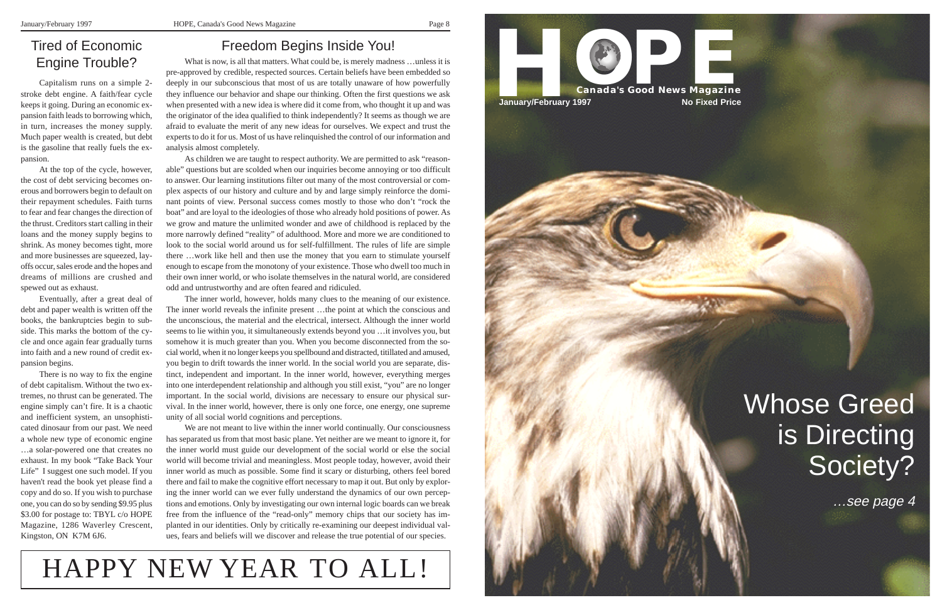#### Freedom Begins Inside You!

What is now, is all that matters. What could be, is merely madness …unless it is pre-approved by credible, respected sources. Certain beliefs have been embedded so deeply in our subconscious that most of us are totally unaware of how powerfully they influence our behavior and shape our thinking. Often the first questions we ask when presented with a new idea is where did it come from, who thought it up and was the originator of the idea qualified to think independently? It seems as though we are afraid to evaluate the merit of any new ideas for ourselves. We expect and trust the experts to do it for us. Most of us have relinquished the control of our information and analysis almost completely.

As children we are taught to respect authority. We are permitted to ask "reasonable" questions but are scolded when our inquiries become annoying or too difficult to answer. Our learning institutions filter out many of the most controversial or complex aspects of our history and culture and by and large simply reinforce the dominant points of view. Personal success comes mostly to those who don't "rock the boat" and are loyal to the ideologies of those who already hold positions of power. As we grow and mature the unlimited wonder and awe of childhood is replaced by the more narrowly defined "reality" of adulthood. More and more we are conditioned to look to the social world around us for self-fulfillment. The rules of life are simple there …work like hell and then use the money that you earn to stimulate yourself enough to escape from the monotony of your existence. Those who dwell too much in their own inner world, or who isolate themselves in the natural world, are considered odd and untrustworthy and are often feared and ridiculed.

The inner world, however, holds many clues to the meaning of our existence. The inner world reveals the infinite present …the point at which the conscious and the unconscious, the material and the electrical, intersect. Although the inner world seems to lie within you, it simultaneously extends beyond you …it involves you, but somehow it is much greater than you. When you become disconnected from the social world, when it no longer keeps you spellbound and distracted, titillated and amused, you begin to drift towards the inner world. In the social world you are separate, distinct, independent and important. In the inner world, however, everything merges into one interdependent relationship and although you still exist, "you" are no longer important. In the social world, divisions are necessary to ensure our physical survival. In the inner world, however, there is only one force, one energy, one supreme unity of all social world cognitions and perceptions.



# Whose Greed is Directing Society?



We are not meant to live within the inner world continually. Our consciousness has separated us from that most basic plane. Yet neither are we meant to ignore it, for the inner world must guide our development of the social world or else the social world will become trivial and meaningless. Most people today, however, avoid their inner world as much as possible. Some find it scary or disturbing, others feel bored there and fail to make the cognitive effort necessary to map it out. But only by exploring the inner world can we ever fully understand the dynamics of our own perceptions and emotions. Only by investigating our own internal logic boards can we break free from the influence of the "read-only" memory chips that our society has implanted in our identities. Only by critically re-examining our deepest individual values, fears and beliefs will we discover and release the true potential of our species.



#### Tired of Economic Engine Trouble?

Capitalism runs on a simple 2 stroke debt engine. A faith/fear cycle keeps it going. During an economic expansion faith leads to borrowing which, in turn, increases the money supply. Much paper wealth is created, but debt is the gasoline that really fuels the expansion.

At the top of the cycle, however, the cost of debt servicing becomes onerous and borrowers begin to default on their repayment schedules. Faith turns to fear and fear changes the direction of the thrust. Creditors start calling in their loans and the money supply begins to shrink. As money becomes tight, more and more businesses are squeezed, layoffs occur, sales erode and the hopes and dreams of millions are crushed and spewed out as exhaust.

Eventually, after a great deal of debt and paper wealth is written off the books, the bankruptcies begin to subside. This marks the bottom of the cycle and once again fear gradually turns into faith and a new round of credit expansion begins.

There is no way to fix the engine of debt capitalism. Without the two extremes, no thrust can be generated. The engine simply can't fire. It is a chaotic and inefficient system, an unsophisticated dinosaur from our past. We need a whole new type of economic engine …a solar-powered one that creates no exhaust. In my book "Take Back Your Life" I suggest one such model. If you haven't read the book yet please find a copy and do so. If you wish to purchase one, you can do so by sending \$9.95 plus \$3.00 for postage to: TBYL c/o HOPE Magazine, 1286 Waverley Crescent, Kingston, ON K7M 6J6.

…see page 4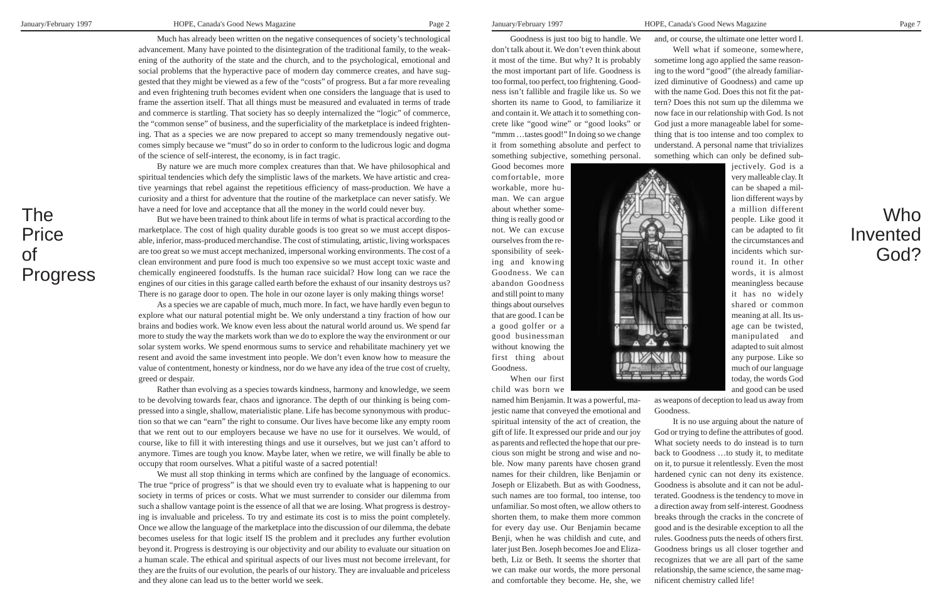Much has already been written on the negative consequences of society's technological advancement. Many have pointed to the disintegration of the traditional family, to the weakening of the authority of the state and the church, and to the psychological, emotional and social problems that the hyperactive pace of modern day commerce creates, and have suggested that they might be viewed as a few of the "costs" of progress. But a far more revealing and even frightening truth becomes evident when one considers the language that is used to frame the assertion itself. That all things must be measured and evaluated in terms of trade and commerce is startling. That society has so deeply internalized the "logic" of commerce, the "common sense" of business, and the superficiality of the marketplace is indeed frightening. That as a species we are now prepared to accept so many tremendously negative outcomes simply because we "must" do so in order to conform to the ludicrous logic and dogma of the science of self-interest, the economy, is in fact tragic.

By nature we are much more complex creatures than that. We have philosophical and spiritual tendencies which defy the simplistic laws of the markets. We have artistic and creative yearnings that rebel against the repetitious efficiency of mass-production. We have a curiosity and a thirst for adventure that the routine of the marketplace can never satisfy. We have a need for love and acceptance that all the money in the world could never buy.

But we have been trained to think about life in terms of what is practical according to the marketplace. The cost of high quality durable goods is too great so we must accept disposable, inferior, mass-produced merchandise. The cost of stimulating, artistic, living workspaces are too great so we must accept mechanized, impersonal working environments. The cost of a clean environment and pure food is much too expensive so we must accept toxic waste and chemically engineered foodstuffs. Is the human race suicidal? How long can we race the engines of our cities in this garage called earth before the exhaust of our insanity destroys us? There is no garage door to open. The hole in our ozone layer is only making things worse!

As a species we are capable of much, much more. In fact, we have hardly even begun to explore what our natural potential might be. We only understand a tiny fraction of how our brains and bodies work. We know even less about the natural world around us. We spend far more to study the way the markets work than we do to explore the way the environment or our solar system works. We spend enormous sums to service and rehabilitate machinery yet we resent and avoid the same investment into people. We don't even know how to measure the value of contentment, honesty or kindness, nor do we have any idea of the true cost of cruelty, greed or despair.

Rather than evolving as a species towards kindness, harmony and knowledge, we seem to be devolving towards fear, chaos and ignorance. The depth of our thinking is being compressed into a single, shallow, materialistic plane. Life has become synonymous with production so that we can "earn" the right to consume. Our lives have become like any empty room that we rent out to our employers because we have no use for it ourselves. We would, of course, like to fill it with interesting things and use it ourselves, but we just can't afford to anymore. Times are tough you know. Maybe later, when we retire, we will finally be able to occupy that room ourselves. What a pitiful waste of a sacred potential!

We must all stop thinking in terms which are confined by the language of economics. The true "price of progress" is that we should even try to evaluate what is happening to our society in terms of prices or costs. What we must surrender to consider our dilemma from such a shallow vantage point is the essence of all that we are losing. What progress is destroying is invaluable and priceless. To try and estimate its cost is to miss the point completely. Once we allow the language of the marketplace into the discussion of our dilemma, the debate becomes useless for that logic itself IS the problem and it precludes any further evolution beyond it. Progress is destroying is our objectivity and our ability to evaluate our situation on a human scale. The ethical and spiritual aspects of our lives must not become irrelevant, for they are the fruits of our evolution, the pearls of our history. They are invaluable and priceless and they alone can lead us to the better world we seek.

Goodness is just too big to handle. We don't talk about it. We don't even think about it most of the time. But why? It is probably the most important part of life. Goodness is too formal, too perfect, too frightening. Goodness isn't fallible and fragile like us. So we shorten its name to Good, to familiarize it and contain it. We attach it to something concrete like "good wine" or "good looks" or "mmm …tastes good!" In doing so we change it from something absolute and perfect to something subjective, something personal.

Good becomes more comfortable, more workable, more human. We can argue about whether something is really good or not. We can excuse ourselves from the responsibility of seeking and knowing Goodness. We can abandon Goodness and still point to many things about ourselves that are good. I can be a good golfer or a good businessman without knowing the first thing about

Goodness.

When our first child was born we

named him Benjamin. It was a powerful, majestic name that conveyed the emotional and spiritual intensity of the act of creation, the gift of life. It expressed our pride and our joy as parents and reflected the hope that our precious son might be strong and wise and noble. Now many parents have chosen grand names for their children, like Benjamin or Joseph or Elizabeth. But as with Goodness, such names are too formal, too intense, too unfamiliar. So most often, we allow others to shorten them, to make them more common for every day use. Our Benjamin became Benji, when he was childish and cute, and later just Ben. Joseph becomes Joe and Elizabeth, Liz or Beth. It seems the shorter that we can make our words, the more personal and comfortable they become. He, she, we

and, or course, the ultimate one letter word I. Well what if someone, somewhere, sometime long ago applied the same reasoning to the word "good" (the already familiarized diminutive of Goodness) and came up with the name God. Does this not fit the pattern? Does this not sum up the dilemma we now face in our relationship with God. Is not God just a more manageable label for something that is too intense and too complex to understand. A personal name that trivializes something which can only be defined sub-



jectively. God is a very malleable clay. It can be shaped a million different ways by a million different people. Like good it can be adapted to fit the circumstances and incidents which surround it. In other words, it is almost meaningless because it has no widely shared or common meaning at all. Its usage can be twisted, manipulated and adapted to suit almost any purpose. Like so much of our language today, the words God and good can be used

as weapons of deception to lead us away from

Goodness.

It is no use arguing about the nature of God or trying to define the attributes of good. What society needs to do instead is to turn back to Goodness …to study it, to meditate on it, to pursue it relentlessly. Even the most hardened cynic can not deny its existence. Goodness is absolute and it can not be adulterated. Goodness is the tendency to move in a direction away from self-interest. Goodness breaks through the cracks in the concrete of good and is the desirable exception to all the rules. Goodness puts the needs of others first. Goodness brings us all closer together and recognizes that we are all part of the same relationship, the same science, the same magnificent chemistry called life!

## The **Price** of Progress

## Who Invented God?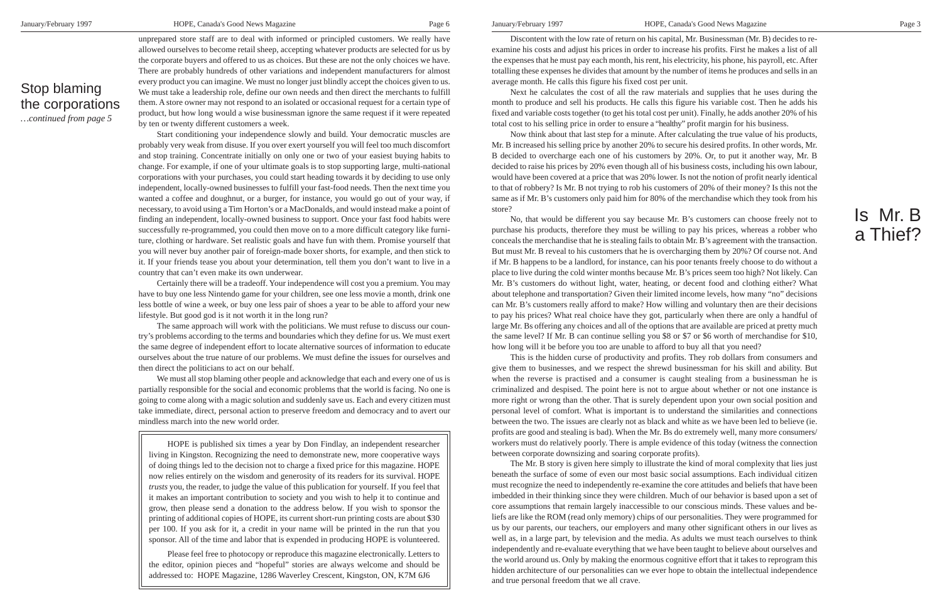Discontent with the low rate of return on his capital, Mr. Businessman (Mr. B) decides to reexamine his costs and adjust his prices in order to increase his profits. First he makes a list of all the expenses that he must pay each month, his rent, his electricity, his phone, his payroll, etc. After totalling these expenses he divides that amount by the number of items he produces and sells in an average month. He calls this figure his fixed cost per unit.

Next he calculates the cost of all the raw materials and supplies that he uses during the month to produce and sell his products. He calls this figure his variable cost. Then he adds his fixed and variable costs together (to get his total cost per unit). Finally, he adds another 20% of his total cost to his selling price in order to ensure a "healthy" profit margin for his business.

Now think about that last step for a minute. After calculating the true value of his products, Mr. B increased his selling price by another 20% to secure his desired profits. In other words, Mr. B decided to overcharge each one of his customers by 20%. Or, to put it another way, Mr. B decided to raise his prices by 20% even though all of his business costs, including his own labour, would have been covered at a price that was 20% lower. Is not the notion of profit nearly identical to that of robbery? Is Mr. B not trying to rob his customers of 20% of their money? Is this not the same as if Mr. B's customers only paid him for 80% of the merchandise which they took from his store?

No, that would be different you say because Mr. B's customers can choose freely not to purchase his products, therefore they must be willing to pay his prices, whereas a robber who conceals the merchandise that he is stealing fails to obtain Mr. B's agreement with the transaction. But must Mr. B reveal to his customers that he is overcharging them by 20%? Of course not. And if Mr. B happens to be a landlord, for instance, can his poor tenants freely choose to do without a place to live during the cold winter months because Mr. B's prices seem too high? Not likely. Can Mr. B's customers do without light, water, heating, or decent food and clothing either? What about telephone and transportation? Given their limited income levels, how many "no" decisions can Mr. B's customers really afford to make? How willing and voluntary then are their decisions to pay his prices? What real choice have they got, particularly when there are only a handful of large Mr. Bs offering any choices and all of the options that are available are priced at pretty much the same level? If Mr. B can continue selling you \$8 or \$7 or \$6 worth of merchandise for \$10, how long will it be before you too are unable to afford to buy all that you need?

This is the hidden curse of productivity and profits. They rob dollars from consumers and give them to businesses, and we respect the shrewd businessman for his skill and ability. But when the reverse is practised and a consumer is caught stealing from a businessman he is criminalized and despised. The point here is not to argue about whether or not one instance is more right or wrong than the other. That is surely dependent upon your own social position and personal level of comfort. What is important is to understand the similarities and connections between the two. The issues are clearly not as black and white as we have been led to believe (ie. profits are good and stealing is bad). When the Mr. Bs do extremely well, many more consumers/ workers must do relatively poorly. There is ample evidence of this today (witness the connection between corporate downsizing and soaring corporate profits).

The Mr. B story is given here simply to illustrate the kind of moral complexity that lies just beneath the surface of some of even our most basic social assumptions. Each individual citizen must recognize the need to independently re-examine the core attitudes and beliefs that have been imbedded in their thinking since they were children. Much of our behavior is based upon a set of core assumptions that remain largely inaccessible to our conscious minds. These values and beliefs are like the ROM (read only memory) chips of our personalities. They were programmed for us by our parents, our teachers, our employers and many other significant others in our lives as well as, in a large part, by television and the media. As adults we must teach ourselves to think independently and re-evaluate everything that we have been taught to believe about ourselves and the world around us. Only by making the enormous cognitive effort that it takes to reprogram this hidden architecture of our personalities can we ever hope to obtain the intellectual independence and true personal freedom that we all crave.

## Is Mr. B a Thief?

unprepared store staff are to deal with informed or principled customers. We really have allowed ourselves to become retail sheep, accepting whatever products are selected for us by the corporate buyers and offered to us as choices. But these are not the only choices we have. There are probably hundreds of other variations and independent manufacturers for almost every product you can imagine. We must no longer just blindly accept the choices given to us. We must take a leadership role, define our own needs and then direct the merchants to fulfill them. A store owner may not respond to an isolated or occasional request for a certain type of product, but how long would a wise businessman ignore the same request if it were repeated by ten or twenty different customers a week.

Start conditioning your independence slowly and build. Your democratic muscles are probably very weak from disuse. If you over exert yourself you will feel too much discomfort and stop training. Concentrate initially on only one or two of your easiest buying habits to change. For example, if one of your ultimate goals is to stop supporting large, multi-national corporations with your purchases, you could start heading towards it by deciding to use only independent, locally-owned businesses to fulfill your fast-food needs. Then the next time you wanted a coffee and doughnut, or a burger, for instance, you would go out of your way, if necessary, to avoid using a Tim Horton's or a MacDonalds, and would instead make a point of finding an independent, locally-owned business to support. Once your fast food habits were successfully re-programmed, you could then move on to a more difficult category like furniture, clothing or hardware. Set realistic goals and have fun with them. Promise yourself that you will never buy another pair of foreign-made boxer shorts, for example, and then stick to it. If your friends tease you about your determination, tell them you don't want to live in a country that can't even make its own underwear.

Certainly there will be a tradeoff. Your independence will cost you a premium. You may have to buy one less Nintendo game for your children, see one less movie a month, drink one less bottle of wine a week, or buy one less pair of shoes a year to be able to afford your new lifestyle. But good god is it not worth it in the long run?

The same approach will work with the politicians. We must refuse to discuss our country's problems according to the terms and boundaries which they define for us. We must exert the same degree of independent effort to locate alternative sources of information to educate ourselves about the true nature of our problems. We must define the issues for ourselves and then direct the politicians to act on our behalf.

We must all stop blaming other people and acknowledge that each and every one of us is partially responsible for the social and economic problems that the world is facing. No one is going to come along with a magic solution and suddenly save us. Each and every citizen must take immediate, direct, personal action to preserve freedom and democracy and to avert our mindless march into the new world order.

#### Stop blaming the corporations

*…continued from page 5*

HOPE is published six times a year by Don Findlay, an independent researcher living in Kingston. Recognizing the need to demonstrate new, more cooperative ways of doing things led to the decision not to charge a fixed price for this magazine. HOPE now relies entirely on the wisdom and generosity of its readers for its survival. HOPE *trusts* you, the reader, to judge the value of this publication for yourself. If you feel that it makes an important contribution to society and you wish to help it to continue and grow, then please send a donation to the address below. If you wish to sponsor the printing of additional copies of HOPE, its current short-run printing costs are about \$30 per 100. If you ask for it, a credit in your name will be printed in the run that you sponsor. All of the time and labor that is expended in producing HOPE is volunteered.

Please feel free to photocopy or reproduce this magazine electronically. Letters to the editor, opinion pieces and "hopeful" stories are always welcome and should be addressed to: HOPE Magazine, 1286 Waverley Crescent, Kingston, ON, K7M 6J6